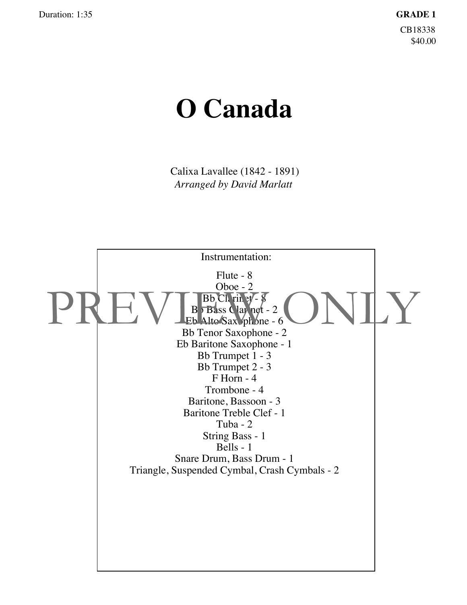**GRADE 1** CB18338 \$40.00

## **O Canada**

*Arranged by David Marlatt* Calixa Lavallee (1842 - 1891)

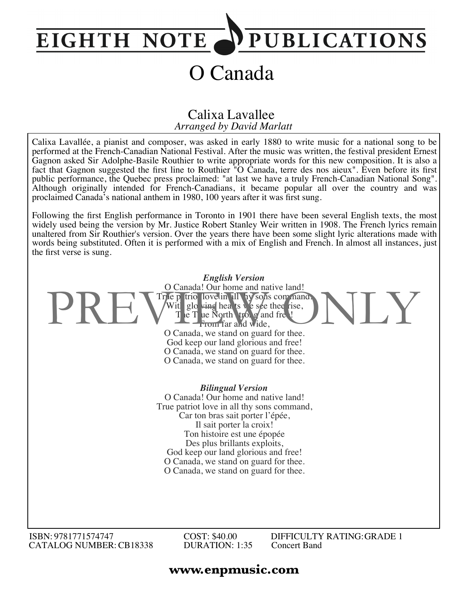

## O Canada

## *Arranged by David Marlatt* Calixa Lavallee

Calixa Lavallée, a pianist and composer, was asked in early 1880 to write music for a national song to be performed at the French-Canadian National Festival. After the music was written, the festival president Ernest Gagnon asked Sir Adolphe-Basile Routhier to write appropriate words for this new composition. It is also a fact that Gagnon suggested the first line to Routhier "O Canada, terre des nos aieux". Even before its first public performance, the Quebec press proclaimed: "at last we have a truly French-Canadian National Song". Although originally intended for French-Canadians, it became popular all over the country and was proclaimed Canada's national anthem in 1980, 100 years after it was first sung.

Following the first English performance in Toronto in 1901 there have been several English texts, the most widely used being the version by Mr. Justice Robert Stanley Weir written in 1908. The French lyrics remain unaltered from Sir Routhier's version. Over the years there have been some slight lyric alterations made with words being substituted. Often it is performed with a mix of English and French. In almost all instances, just the first verse is sung.



CATALOG NUMBER:CB18338

**www.enpmusic.com**

Concert Band

DURATION: 1:35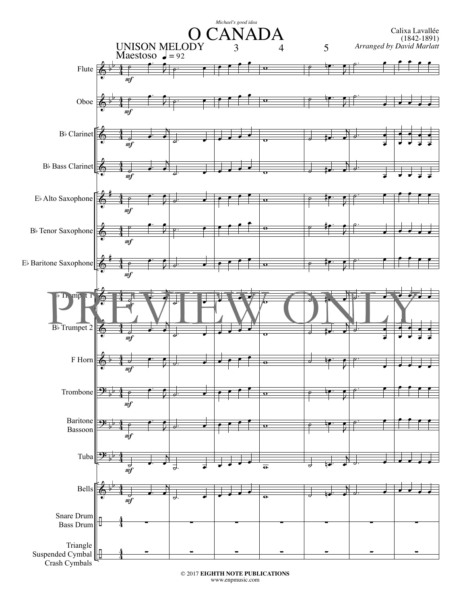

© 2017 **EIGHTH NOTE PUBLICATIONS** www.enpmusic.com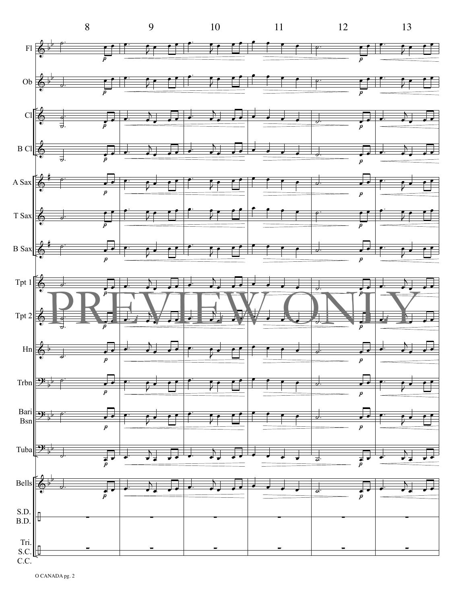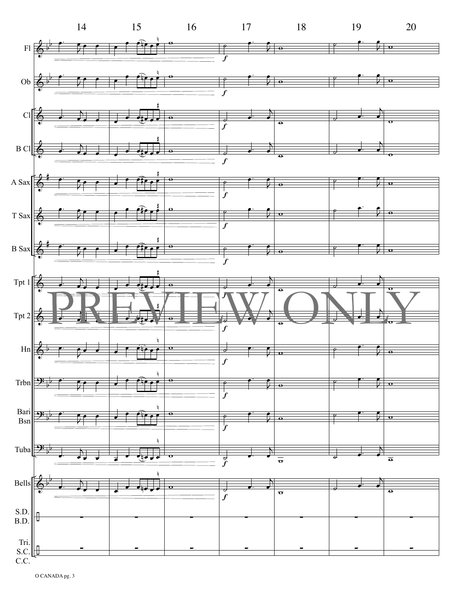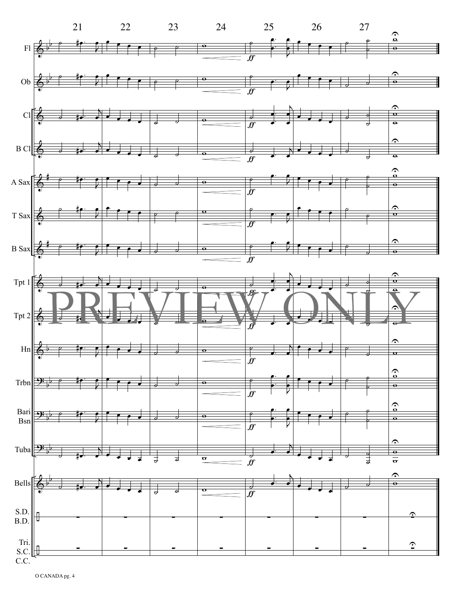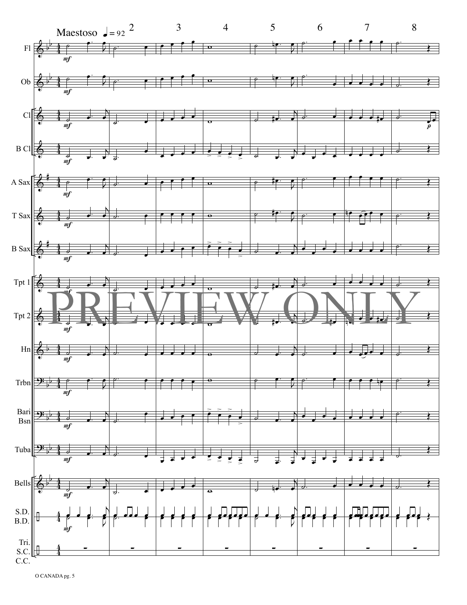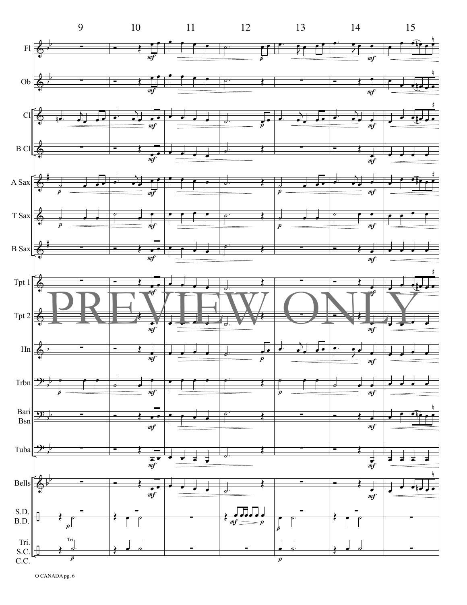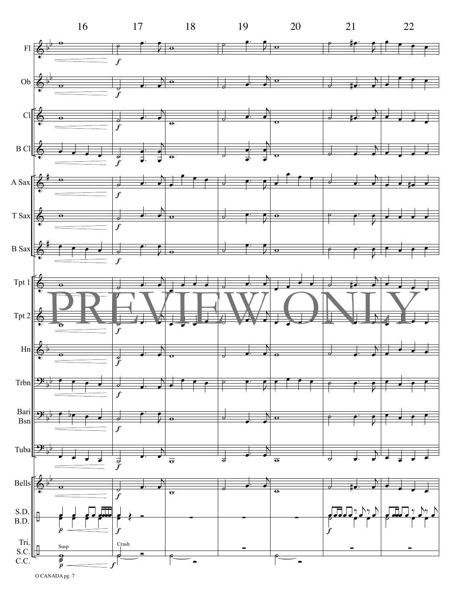